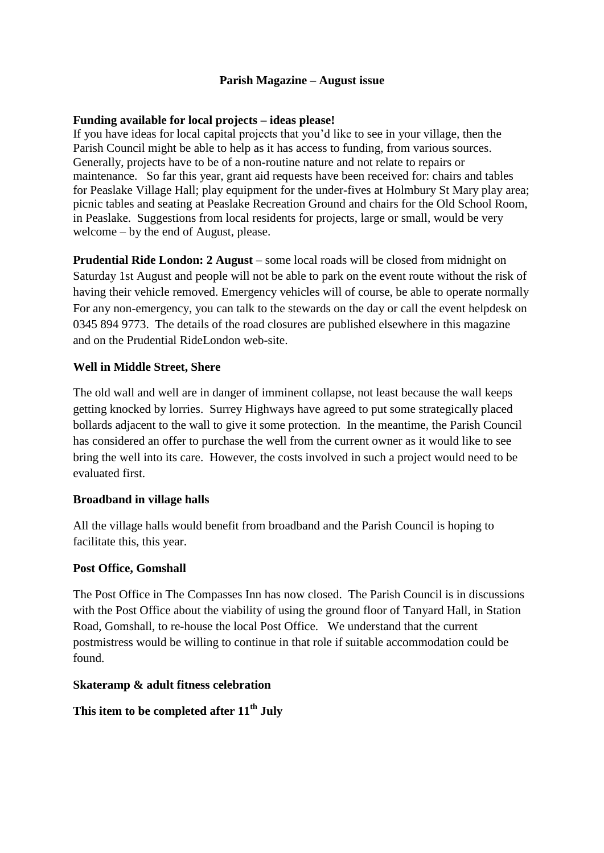# **Parish Magazine – August issue**

#### **Funding available for local projects – ideas please!**

If you have ideas for local capital projects that you'd like to see in your village, then the Parish Council might be able to help as it has access to funding, from various sources. Generally, projects have to be of a non-routine nature and not relate to repairs or maintenance. So far this year, grant aid requests have been received for: chairs and tables for Peaslake Village Hall; play equipment for the under-fives at Holmbury St Mary play area; picnic tables and seating at Peaslake Recreation Ground and chairs for the Old School Room, in Peaslake. Suggestions from local residents for projects, large or small, would be very welcome – by the end of August, please.

**Prudential Ride London: 2 August** – some local roads will be closed from midnight on Saturday 1st August and people will not be able to park on the event route without the risk of having their vehicle removed. Emergency vehicles will of course, be able to operate normally For any non-emergency, you can talk to the stewards on the day or call the event helpdesk on 0345 894 9773. The details of the road closures are published elsewhere in this magazine and on the Prudential RideLondon web-site.

# **Well in Middle Street, Shere**

The old wall and well are in danger of imminent collapse, not least because the wall keeps getting knocked by lorries. Surrey Highways have agreed to put some strategically placed bollards adjacent to the wall to give it some protection. In the meantime, the Parish Council has considered an offer to purchase the well from the current owner as it would like to see bring the well into its care. However, the costs involved in such a project would need to be evaluated first.

#### **Broadband in village halls**

All the village halls would benefit from broadband and the Parish Council is hoping to facilitate this, this year.

#### **Post Office, Gomshall**

The Post Office in The Compasses Inn has now closed. The Parish Council is in discussions with the Post Office about the viability of using the ground floor of Tanyard Hall, in Station Road, Gomshall, to re-house the local Post Office. We understand that the current postmistress would be willing to continue in that role if suitable accommodation could be found.

#### **Skateramp & adult fitness celebration**

# **This item to be completed after 11th July**